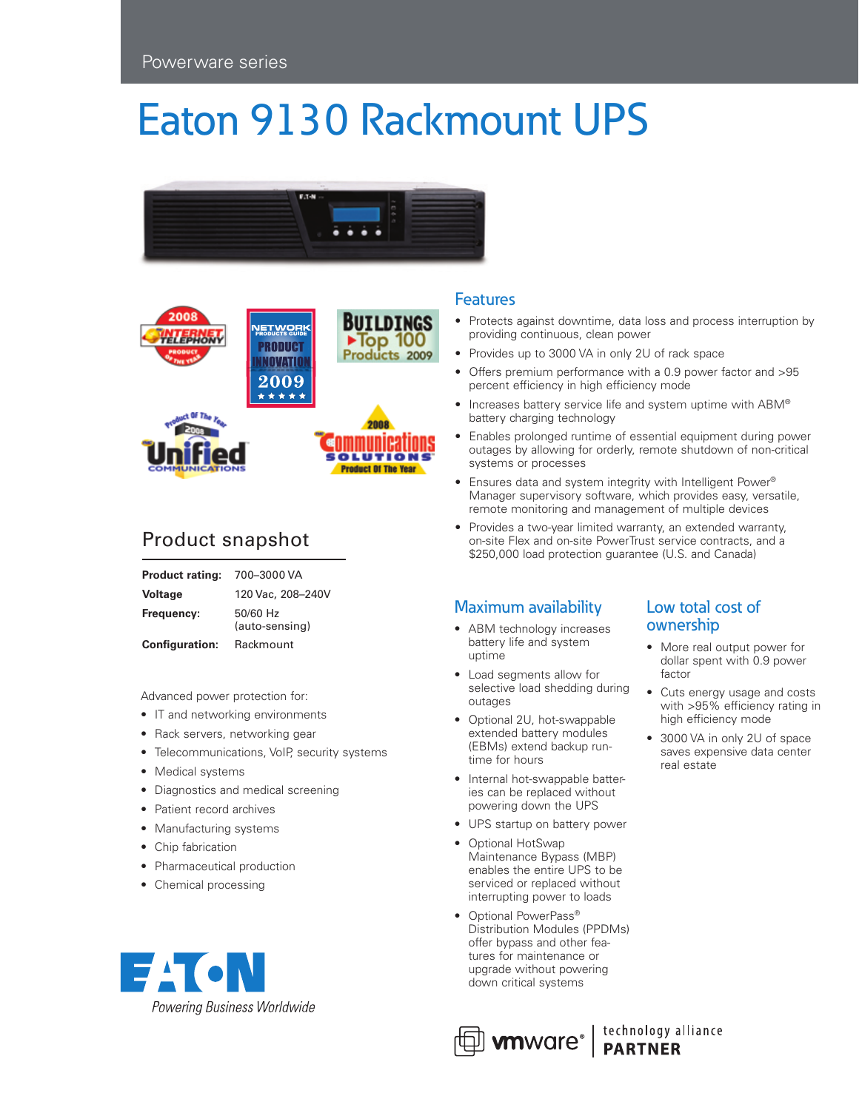## Eaton 9130 Rackmount UPS





### Product snapshot

| <b>Product rating:</b> | 700-3000 VA                |
|------------------------|----------------------------|
| <b>Voltage</b>         | 120 Vac. 208-240V          |
| Frequency:             | 50/60 Hz<br>(auto-sensing) |
| <b>Configuration:</b>  | Rackmount                  |

Advanced power protection for:

- IT and networking environments
- Rack servers, networking gear
- Telecommunications, VoIP, security systems
- Medical systems
- Diagnostics and medical screening
- Patient record archives
- Manufacturing systems
- Chip fabrication
- Pharmaceutical production
- Chemical processing



#### **Features**

- Protects against downtime, data loss and process interruption by providing continuous, clean power
- Provides up to 3000 VA in only 2U of rack space
- Offers premium performance with a 0.9 power factor and >95 percent efficiency in high efficiency mode
- Increases battery service life and system uptime with ABM® battery charging technology
- Enables prolonged runtime of essential equipment during power outages by allowing for orderly, remote shutdown of non-critical systems or processes
- Ensures data and system integrity with Intelligent Power® Manager supervisory software, which provides easy, versatile, remote monitoring and management of multiple devices
- Provides a two-year limited warranty, an extended warranty, on-site Flex and on-site PowerTrust service contracts, and a \$250,000 load protection guarantee (U.S. and Canada)

#### Maximum availability

- ABM technology increases battery life and system uptime
- • Load segments allow for selective load shedding during outages
- Optional 2U, hot-swappable extended battery modules (EBMs) extend backup runtime for hours
- Internal hot-swappable batteries can be replaced without powering down the UPS
- UPS startup on battery power
- Optional HotSwap Maintenance Bypass (MBP) enables the entire UPS to be serviced or replaced without interrupting power to loads
- Optional PowerPass® Distribution Modules (PPDMs) offer bypass and other features for maintenance or upgrade without powering down critical systems

#### Low total cost of ownership

- More real output power for dollar spent with 0.9 power factor
- • Cuts energy usage and costs with >95% efficiency rating in high efficiency mode
- 3000 VA in only 2U of space saves expensive data center real estate



 $\bigoplus$  wnware<sup>®</sup> | technology alliance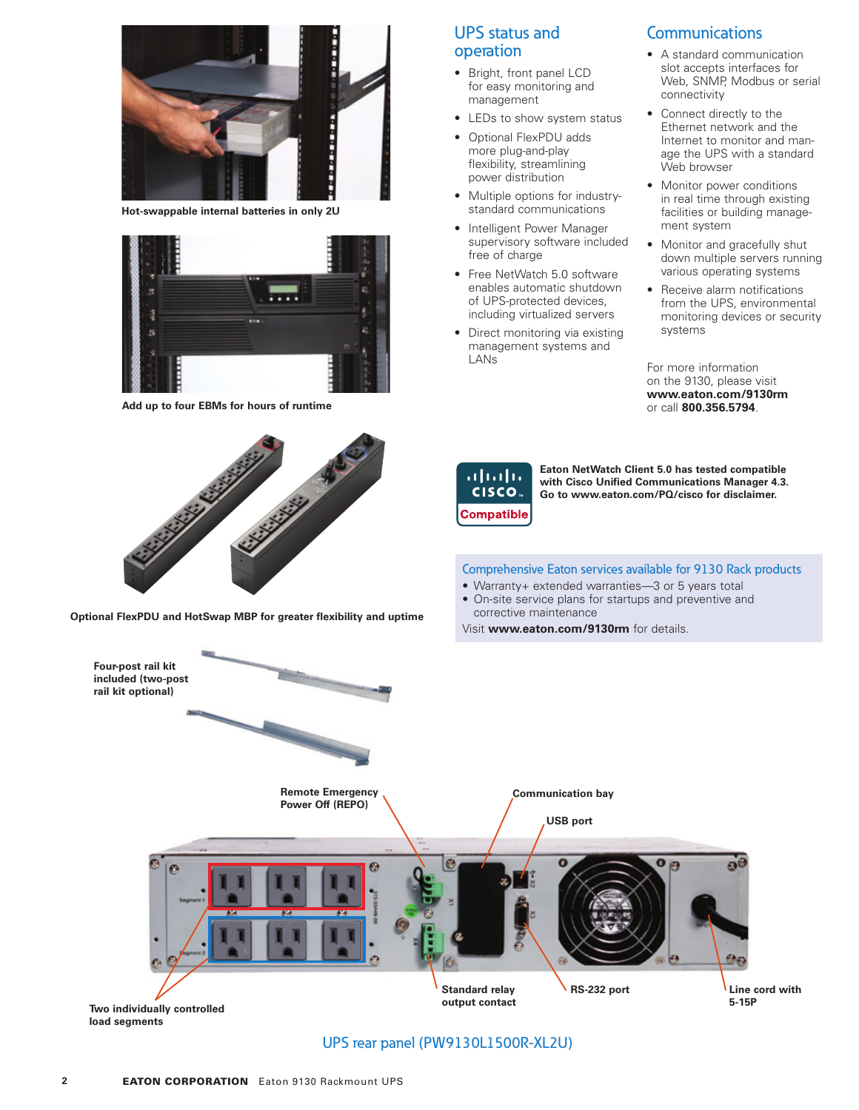

**Hot-swappable internal batteries in only 2U**



**Add up to four EBMs for hours of runtime**

# **CALIFORNIA CALIFORNIA REPAIR**

**Optional FlexPDU and HotSwap MBP for greater flexibility and uptime**

#### UPS status and operation

- • Bright, front panel LCD for easy monitoring and management
- LEDs to show system status
- • Optional FlexPDU adds more plug-and-play flexibility, streamlining power distribution
- Multiple options for industrystandard communications
- Intelligent Power Manager supervisory software included free of charge
- Free NetWatch 5.0 software enables automatic shutdown of UPS-protected devices, including virtualized servers
- Direct monitoring via existing management systems and LANs

#### **Communications**

- • A standard communication slot accepts interfaces for Web, SNMP, Modbus or serial connectivity
- • Connect directly to the Ethernet network and the Internet to monitor and manage the UPS with a standard Web browser
- Monitor power conditions in real time through existing facilities or building management system
- Monitor and gracefully shut down multiple servers running various operating systems
- Receive alarm notifications from the UPS, environmental monitoring devices or security systems

For more information on the 9130, please visit **www.eaton.com/9130rm** or call **800.356.5794**.

| altalti<br>CISCO  |
|-------------------|
| <b>Compatible</b> |

**Eaton NetWatch Client 5.0 has tested compatible with Cisco Unified Communications Manager 4.3. Go to www.eaton.com/PQ/cisco for disclaimer.**

#### Comprehensive Eaton services available for 9130 Rack products

- Warranty+ extended warranties-3 or 5 years total
- On-site service plans for startups and preventive and corrective maintenance

Visit **www.eaton.com/9130rm** for details.



#### UPS rear panel (PW9130L1500R-XL2U)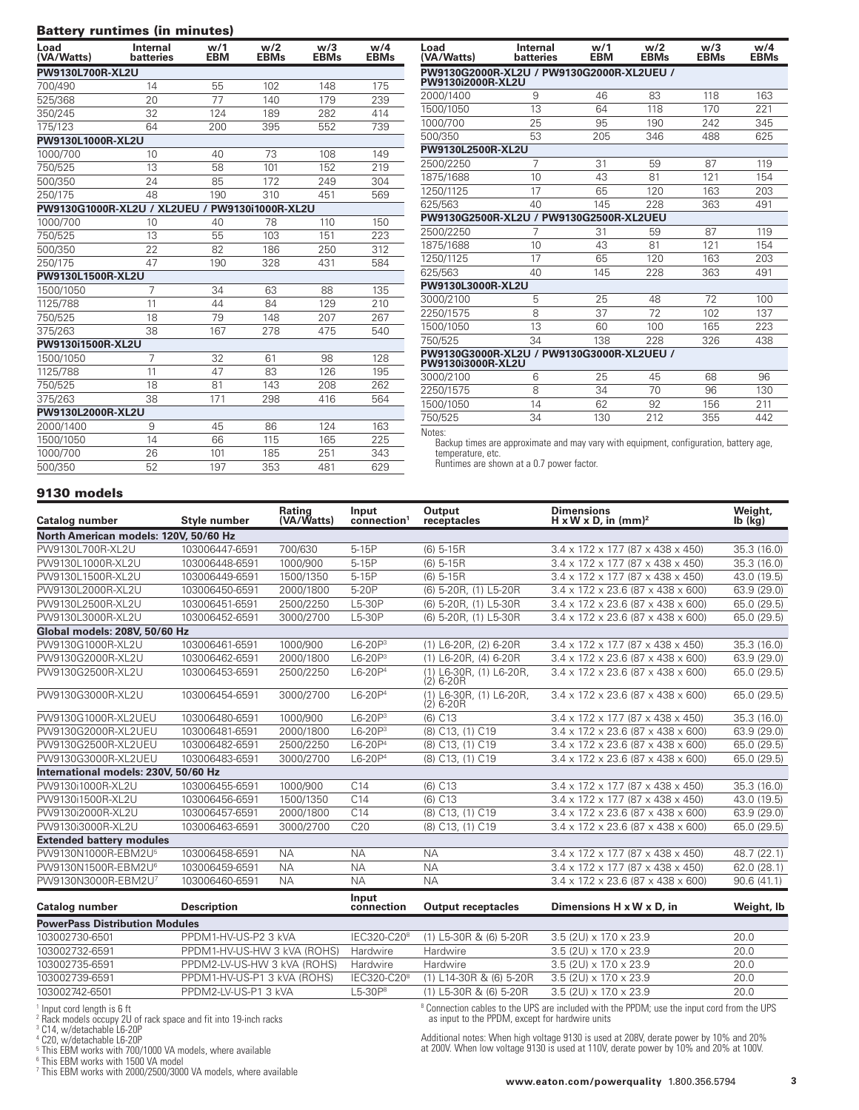#### Battery runtimes (in minutes)

| Load<br>(VA/Watts) | Internal<br>batteries                          | w/1<br><b>EBM</b> | w/2<br><b>EBMs</b> | w/3<br><b>EBMs</b> | w/4<br><b>EBMs</b> |
|--------------------|------------------------------------------------|-------------------|--------------------|--------------------|--------------------|
| PW9130L700R-XL2U   |                                                |                   |                    |                    |                    |
| 700/490            | 14                                             | 55                | 102                | 148                | 175                |
| 525/368            | 20                                             | 77                | 140                | 179                | 239                |
| 350/245            | 32                                             | 124               | 189                | 282                | 414                |
| 175/123            | 64                                             | 200               | 395                | 552                | 739                |
| PW9130L1000R-XL2U  |                                                |                   |                    |                    |                    |
| 1000/700           | 10                                             | 40                | 73                 | 108                | 149                |
| 750/525            | 13                                             | 58                | 101                | 152                | 219                |
| 500/350            | 24                                             | 85                | 172                | 249                | 304                |
| 250/175            | 48                                             | 190               | 310                | 451                | 569                |
|                    | PW9130G1000R-XL2U / XL2UEU / PW9130i1000R-XL2U |                   |                    |                    |                    |
| 1000/700           | 10                                             | 40                | 78                 | 110                | 150                |
| 750/525            | 13                                             | 55                | 103                | 151                | 223                |
| 500/350            | 22                                             | 82                | 186                | 250                | 312                |
| 250/175            | 47                                             | 190               | 328                | 431                | 584                |
|                    | PW9130L1500R-XL2U                              |                   |                    |                    |                    |
| 1500/1050          | 7                                              | 34                | 63                 | 88                 | 135                |
| 1125/788           | 11                                             | 44                | 84                 | 129                | 210                |
| 750/525            | 18                                             | 79                | 148                | 207                | 267                |
| 375/263            | 38                                             | 167               | 278                | 475                | 540                |
| PW9130i1500R-XL2U  |                                                |                   |                    |                    |                    |
| 1500/1050          | 7                                              | 32                | 61                 | 98                 | 128                |
| 1125/788           | 11                                             | 47                | 83                 | 126                | 195                |
| 750/525            | 18                                             | 81                | 143                | 208                | 262                |
| 375/263            | 38                                             | 171               | 298                | 416                | 564                |
| PW9130L2000R-XL2U  |                                                |                   |                    |                    |                    |
| 2000/1400          | 9                                              | 45                | 86                 | 124                | 163                |
| 1500/1050          | 14                                             | 66                | 115                | 165                | 225                |
| 1000/700           | 26                                             | 101               | 185                | 251                | 343                |
| 500/350            | 52                                             | 197               | 353                | 481                | 629                |

| Load<br>(VA/Watts)                                             | <b>Internal</b><br>batteries              | w/1<br><b>EBM</b> | w/2<br><b>EBMs</b> | w/3<br><b>EBMs</b> | w/4<br><b>EBMs</b> |
|----------------------------------------------------------------|-------------------------------------------|-------------------|--------------------|--------------------|--------------------|
| PW9130i2000R-XL2U                                              | PW9130G2000R-XL2U / PW9130G2000R-XL2UEU / |                   |                    |                    |                    |
| 2000/1400                                                      | 9                                         | 46                | 83                 | 118                | 163                |
| 1500/1050                                                      | 13                                        | 64                | 118                | 170                | 221                |
| 1000/700                                                       | 25                                        | 95                | 190                | 242                | 345                |
| 500/350                                                        | 53                                        | 205               | 346                | 488                | 625                |
| PW9130L2500R-XL2U                                              |                                           |                   |                    |                    |                    |
| 2500/2250                                                      | 7                                         | 31                | 59                 | 87                 | 119                |
| 1875/1688                                                      | 10                                        | 43                | 81                 | 121                | 154                |
| 1250/1125                                                      | 17                                        | 65                | 120                | 163                | 203                |
| 625/563                                                        | 40                                        | 145               | 228                | 363                | 491                |
|                                                                | PW9130G2500R-XL2U / PW9130G2500R-XL2UEU   |                   |                    |                    |                    |
| 2500/2250                                                      | 7                                         | 31                | 59                 | 87                 | 119                |
| 1875/1688                                                      | 10                                        | 43                | 81                 | 121                | 154                |
| 1250/1125                                                      | 17                                        | 65                | 120                | 163                | 203                |
| 625/563                                                        | 40                                        | 145               | 228                | 363                | 491                |
| PW9130L3000R-XL2U                                              |                                           |                   |                    |                    |                    |
| 3000/2100                                                      | 5                                         | 25                | 48                 | 72                 | 100                |
| 2250/1575                                                      | 8                                         | 37                | 72                 | 102                | 137                |
| 1500/1050                                                      | 13                                        | 60                | 100                | 165                | 223                |
| 750/525                                                        | 34                                        | 138               | 228                | 326                | 438                |
| PW9130G3000R-XL2U / PW9130G3000R-XL2UEU /<br>PW9130i3000R-XL2U |                                           |                   |                    |                    |                    |
| 3000/2100                                                      | 6                                         | 25                | 45                 | 68                 | 96                 |
| 2250/1575                                                      | 8                                         | 34                | 70                 | 96                 | 130                |
| 1500/1050                                                      | 14                                        | 62                | 92                 | 156                | 211                |
| 750/525                                                        | 34                                        | 130               | 212                | 355                | 442                |

Notes:

Backup times are approximate and may vary with equipment, configuration, battery age, temperature, etc. Runtimes are shown at a 0.7 power factor.

#### 9130 models

| Catalog number                        | Style number   | Rating<br>(VA/Watts) | Input<br>connection <sup>1</sup> | Output<br>receptacles                              | <b>Dimensions</b><br>H x W x D, in $(mm)^2$                  | Weight,<br>$Ib$ ( $Kq$ ) |
|---------------------------------------|----------------|----------------------|----------------------------------|----------------------------------------------------|--------------------------------------------------------------|--------------------------|
| North American models: 120V, 50/60 Hz |                |                      |                                  |                                                    |                                                              |                          |
| PW9130L700R-XL2U                      | 103006447-6591 | 700/630              | 5-15P                            | $(6)$ 5-15R                                        | $3.4 \times 17.2 \times 17.7$ (87 x 438 x 450)               | 35.3 (16.0)              |
| PW9130L1000R-XL2U                     | 103006448-6591 | 1000/900             | 5-15P                            | $(6)$ 5-15R                                        | $3.4 \times 17.2 \times 17.7$ (87 $\times$ 438 $\times$ 450) | 35.3 (16.0)              |
| PW9130L1500R-XL2U                     | 103006449-6591 | 1500/1350            | 5-15P                            | $(6)$ 5-15R                                        | $3.4 \times 17.2 \times 17.7$ (87 $\times$ 438 $\times$ 450) | 43.0 (19.5)              |
| PW9130L2000R-XL2U                     | 103006450-6591 | 2000/1800            | 5-20P                            | (6) 5-20R. (1) L5-20R                              | $3.4 \times 17.2 \times 23.6$ (87 $\times$ 438 $\times$ 600) | 63.9 (29.0)              |
| PW9130L2500R-XL2U                     | 103006451-6591 | 2500/2250            | L5-30P                           | (6) 5-20R. (1) L5-30R                              | $3.4 \times 17.2 \times 23.6$ (87 $\times$ 438 $\times$ 600) | 65.0 (29.5)              |
| PW9130L3000R-XL2U                     | 103006452-6591 | 3000/2700            | L5-30P                           | (6) 5-20R. (1) L5-30R                              | $3.4 \times 17.2 \times 23.6$ (87 $\times$ 438 $\times$ 600) | 65.0 (29.5)              |
| Global models: 208V, 50/60 Hz         |                |                      |                                  |                                                    |                                                              |                          |
| PW9130G1000R-XL2U                     | 103006461-6591 | 1000/900             | $L6-20P3$                        | $(1)$ L6-20R, $(2)$ 6-20R                          | $3.4 \times 17.2 \times 17.7$ (87 $\times$ 438 $\times$ 450) | 35.3 (16.0)              |
| PW9130G2000R-XL2U                     | 103006462-6591 | 2000/1800            | $L6-20P3$                        | (1) L6-20R, (4) 6-20R                              | $3.4 \times 17.2 \times 23.6$ (87 $\times$ 438 $\times$ 600) | 63.9 (29.0)              |
| PW9130G2500R-XL2U                     | 103006453-6591 | 2500/2250            | $L6-20P4$                        | (1) L6-30R. (1) L6-20R.<br>$(2)$ 6-20 <sub>R</sub> | $3.4 \times 17.2 \times 23.6$ (87 $\times$ 438 $\times$ 600) | 65.0 (29.5)              |
| PW9130G3000R-XL2U                     | 103006454-6591 | 3000/2700            | $L6-20P4$                        | (1) L6-30R, (1) L6-20R,<br>$(2)$ 6-20R             | $3.4 \times 17.2 \times 23.6$ (87 $\times$ 438 $\times$ 600) | 65.0 (29.5)              |
| PW9130G1000R-XL2UEU                   | 103006480-6591 | 1000/900             | $L6-20P3$                        | $(6)$ $C13$                                        | $3.4 \times 17.2 \times 17.7$ (87 $\times$ 438 $\times$ 450) | 35.3 (16.0)              |
| PW9130G2000R-XL2UEU                   | 103006481-6591 | 2000/1800            | $L6-20P3$                        | (8) C13, (1) C19                                   | $3.4 \times 17.2 \times 23.6$ (87 x 438 x 600)               | 63.9 (29.0)              |
| PW9130G2500R-XL2UEU                   | 103006482-6591 | 2500/2250            | $L6-20P4$                        | (8) C13, (1) C19                                   | $3.4 \times 17.2 \times 23.6$ (87 $\times$ 438 $\times$ 600) | 65.0 (29.5)              |
| PW9130G3000R-XL2UEU                   | 103006483-6591 | 3000/2700            | $L6-20P4$                        | (8) C13, (1) C19                                   | $3.4 \times 17.2 \times 23.6$ (87 x 438 x 600)               | 65.0 (29.5)              |
| International models: 230V, 50/60 Hz  |                |                      |                                  |                                                    |                                                              |                          |
| PW9130i1000R-XL2U                     | 103006455-6591 | 1000/900             | C14                              | $(6)$ $C13$                                        | $3.4 \times 17.2 \times 17.7$ (87 $\times$ 438 $\times$ 450) | 35.3 (16.0)              |
| PW9130i1500R-XL2U                     | 103006456-6591 | 1500/1350            | C <sub>14</sub>                  | $(6)$ $C13$                                        | $3.4 \times 17.2 \times 17.7$ (87 x 438 x 450)               | 43.0 (19.5)              |
| PW9130i2000R-XL2U                     | 103006457-6591 | 2000/1800            | C14                              | (8) C13, (1) C19                                   | $3.4 \times 17.2 \times 23.6$ (87 $\times$ 438 $\times$ 600) | 63.9 (29.0)              |
| PW9130i3000R-XL2U                     | 103006463-6591 | 3000/2700            | C20                              | (8) C13, (1) C19                                   | $3.4 \times 17.2 \times 23.6$ (87 $\times$ 438 $\times$ 600) | 65.0 (29.5)              |
| <b>Extended battery modules</b>       |                |                      |                                  |                                                    |                                                              |                          |
| PW9130N1000R-EBM2U <sup>5</sup>       | 103006458-6591 | <b>NA</b>            | <b>NA</b>                        | <b>NA</b>                                          | $3.4 \times 17.2 \times 17.7$ (87 $\times$ 438 $\times$ 450) | 48.7 (22.1)              |
| PW9130N1500R-EBM2U <sup>6</sup>       | 103006459-6591 | <b>NA</b>            | <b>NA</b>                        | <b>NA</b>                                          | $3.4 \times 17.2 \times 17.7$ (87 $\times$ 438 $\times$ 450) | 62.0 (28.1)              |
| PW9130N3000R-EBM2U7                   | 103006460-6591 | <b>NA</b>            | <b>NA</b>                        | <b>NA</b>                                          | $3.4 \times 17.2 \times 23.6$ (87 x 438 x 600)               | 90.6(41.1)               |

| Catalog number                        | <b>Description</b>          | Input<br>connection     | <b>Output receptacles</b> | Dimensions H x W x D, in               | Weight, Ib |
|---------------------------------------|-----------------------------|-------------------------|---------------------------|----------------------------------------|------------|
| <b>PowerPass Distribution Modules</b> |                             |                         |                           |                                        |            |
| 103002730-6501                        | PPDM1-HV-US-P2 3 kVA        | IEC320-C20 <sup>8</sup> | (1) L5-30R & (6) 5-20R    | $3.5(2U) \times 17.0 \times 23.9$      | 20.0       |
| 103002732-6591                        | PPDM1-HV-US-HW 3 kVA (ROHS) | Hardwire                | <b>Hardwire</b>           | $3.5(2$ U) $\times$ 17.0 $\times$ 23.9 | 20.0       |
| 103002735-6591                        | PPDM2-LV-US-HW 3 kVA (ROHS) | Hardwire                | Hardwire                  | $3.5(2$ U) $\times$ 17.0 $\times$ 23.9 | 20.0       |
| 103002739-6591                        | PPDM1-HV-US-P1 3 kVA (ROHS) | IEC320-C20 <sup>8</sup> | (1) L14-30R & (6) 5-20R   | $3.5(2U) \times 17.0 \times 23.9$      | 20.0       |
| 103002742-6501                        | PPDM2-LV-US-P1 3 kVA        | $-5-30P8$               | (1) L5-30R & (6) 5-20R    | $3.5(2U) \times 17.0 \times 23.9$      | 20.0       |
|                                       |                             |                         |                           |                                        |            |

<sup>1</sup> Input cord length is 6 ft<br><sup>2</sup> Rack models occupy 2U of rack space and fit into 19-inch racks<br><sup>3</sup> C14, w/detachable L6-20P<br><sup>4</sup> C20, w/detachable L6-20P<br><sup>5</sup> This EBM works with 1500/1000 VA models, where available<br><sup>6</sup> Th

8 Connection cables to the UPS are included with the PPDM; use the input cord from the UPS as input to the PPDM, except for hardwire units

Additional notes: When high voltage 9130 is used at 208V, derate power by 10% and 20% at 200V. When low voltage 9130 is used at 110V, derate power by 10% and 20% at 100V.